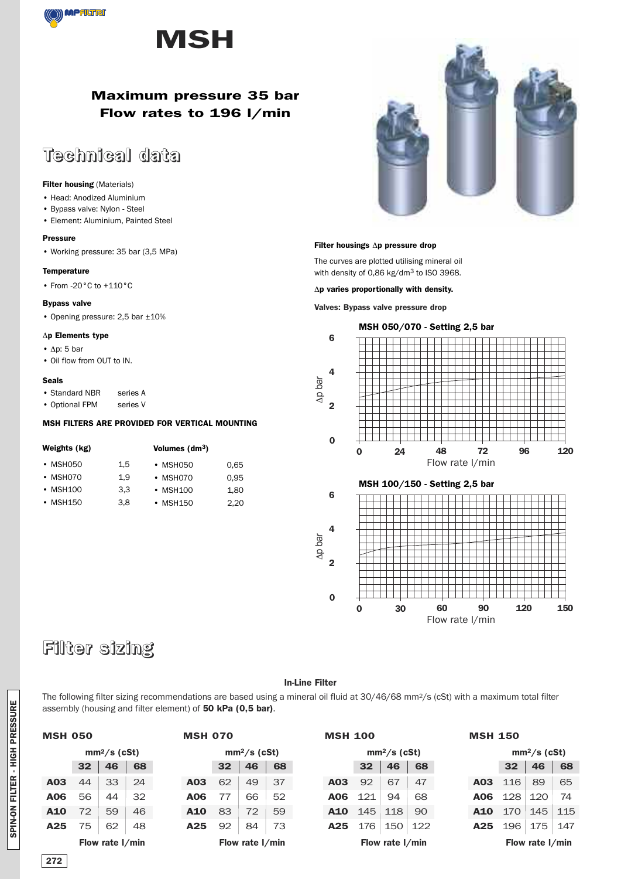



# **Maximum pressure 35 bar Flow rates to 196 l/min**

# **Technical data**

#### **Filter housing** (Materials)

- Head: Anodized Aluminium
- Bypass valve: Nylon Steel
- Element: Aluminium, Painted Steel

#### **Pressure**

• Working pressure: 35 bar (3,5 MPa)

#### **Temperature**

• From -20°C to +110°C

#### **Bypass valve**

• Opening pressure: 2,5 bar ±10%

#### Δ**p Elements type**

- Δp: 5 bar
- Oil flow from OUT to IN.

#### **Seals**

- Standard NBR series A
- Optional FPM series V

### **MSH FILTERS ARE PROVIDED FOR VERTICAL MOUNTING**

| Weights (kg) |     | Volumes $(dm3)$ |      |  |  |  |
|--------------|-----|-----------------|------|--|--|--|
| • MSH050     | 1.5 | $\cdot$ MSH050  | 0.65 |  |  |  |
| • MSH070     | 1.9 | • MSH070        | 0.95 |  |  |  |
| • MSH100     | 3.3 | • MSH100        | 1.80 |  |  |  |
| • MSH150     | 3.8 | • MSH150        | 2,20 |  |  |  |



#### **Filter housings** Δ**p pressure drop**

The curves are plotted utilising mineral oil with density of 0,86 kg/dm3 to ISO 3968.

Δ**p varies proportionally with density.**

#### **Valves: Bypass valve pressure drop**



**0 30 60 90 120 150**

Flow rate l/min

# **Filter sizing**

#### **In-Line Filter**

**0**

The following filter sizing recommendations are based using a mineral oil fluid at 30/46/68 mm2/s (cSt) with a maximum total filter assembly (housing and filter element) of **50 kPa (0,5 bar)**.

| <b>MSH 050</b>  |    |                 |    | <b>MSH 070</b> |                 |                 |    | <b>MSH 100</b> |                 |                 |     | <b>MSH 150</b> |                 |                 |     |
|-----------------|----|-----------------|----|----------------|-----------------|-----------------|----|----------------|-----------------|-----------------|-----|----------------|-----------------|-----------------|-----|
|                 |    | $mm2/s$ (cSt)   |    |                |                 | $mm2/s$ (cSt)   |    |                |                 | $mm2/s$ (cSt)   |     |                |                 | $mm2/s$ (cSt)   |     |
|                 | 32 | 46              | 68 |                | 32 <sub>2</sub> | 46              | 68 |                | 32 <sub>2</sub> | 46              | 68  |                | 32 <sub>2</sub> | 46              | 68  |
| A03             | 44 | 33              | 24 | A03            | 62              | 49              | 37 | A03            | 92              | 67              | 47  | A03            | 116             | 89              | 65  |
| A06             | 56 | 44              | 32 | A06            | 77              | 66              | 52 | A06            | 121             | 94              | 68  | <b>A06</b>     | 128             | 120             | 74  |
| A10             | 72 | 59              | 46 | A10            | 83              | 72              | 59 | <b>A10</b>     | 145             | 118             | 90  | A10            | 170             | 145             | 115 |
| A <sub>25</sub> | 75 | 62              | 48 | A25            | 92              | 84              | 73 | A25            | 176             | 150             | 122 | A25            | 196             | 175             | 147 |
|                 |    | Flow rate I/min |    |                |                 | Flow rate I/min |    |                |                 | Flow rate I/min |     |                |                 | Flow rate I/min |     |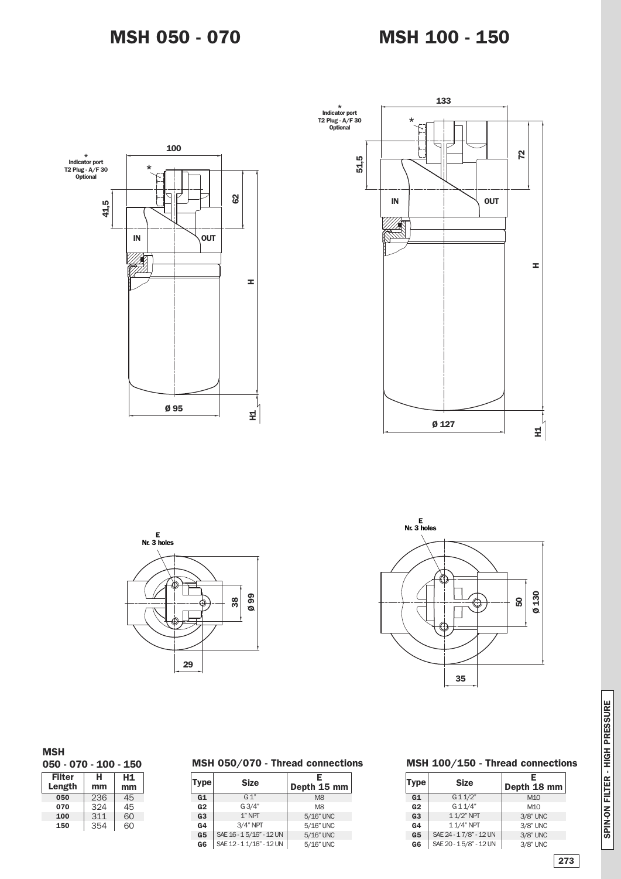





### **MSH**

**050 - 070 - 100 - 150**

| <b>Filter</b><br>Length | н<br>mm | H1.<br>mm |
|-------------------------|---------|-----------|
| 050                     | 236     | 45        |
| 070                     | 324     | 45        |
| 100                     | 311     | 60        |
| 150                     | 354     | 60        |

# **MSH 050/070 - Thread connections**

| <b>Type</b>    | <b>Size</b>              | E<br>Depth 15 mm |
|----------------|--------------------------|------------------|
| G1             | $G_1$ "                  | M <sub>8</sub>   |
| G <sub>2</sub> | G3/4"                    | M <sub>8</sub>   |
| G <sub>3</sub> | $1"$ NPT                 | 5/16" UNC        |
| G <sub>4</sub> | $3/4"$ NPT               | 5/16" UNC        |
| G <sub>5</sub> | SAE 16 - 15/16" - 12 UN  | 5/16" UNC        |
| G6             | SAE 12 - 1 1/16" - 12 UN | 5/16" UNC        |

### **MSH 100/150 - Thread connections**

| Type           | <b>Size</b>            | Е<br>Depth 18 mm |
|----------------|------------------------|------------------|
| G1             | G11/2"                 | M10              |
| G <sub>2</sub> | G 1 1/4"               | M <sub>10</sub>  |
| G <sub>3</sub> | 1 1/2" NPT             | 3/8" UNC         |
| G <sub>4</sub> | 1 1/4" NPT             | 3/8" UNC         |
| G <sub>5</sub> | SAE 24 - 17/8" - 12 UN | 3/8" UNC         |
| G6             | SAE 20 - 15/8" - 12 UN | 3/8" UNC         |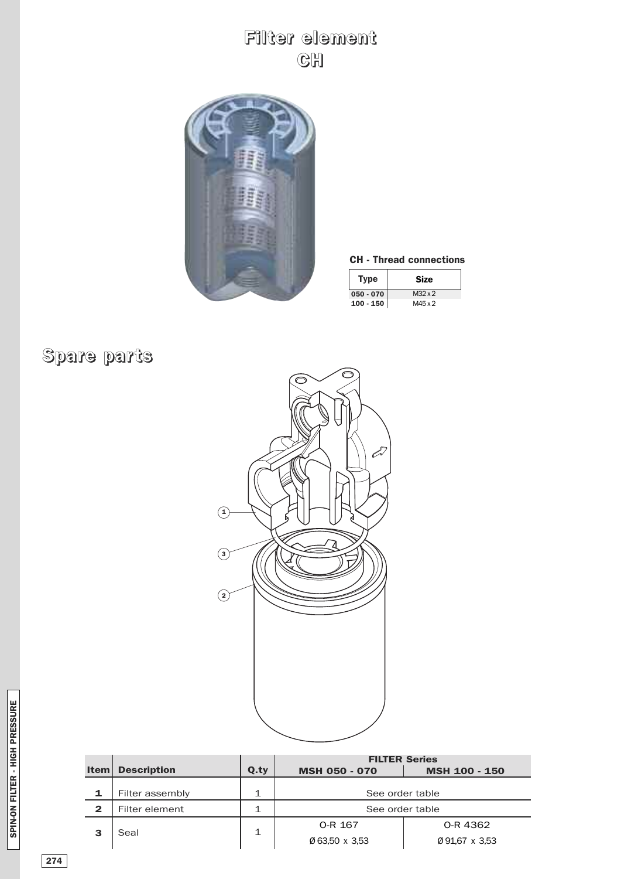# **Filter element CH**



## **CH - Thread connections**

| Type        | <b>Size</b>    |
|-------------|----------------|
| $050 - 070$ | $M32 \times 2$ |
| $100 - 150$ | M45 x 2        |

# **Spare parts**



|              |                    |      | <b>FILTER Series</b> |                      |  |  |
|--------------|--------------------|------|----------------------|----------------------|--|--|
| <b>Item</b>  | <b>Description</b> | Q.ty | <b>MSH 050 - 070</b> | <b>MSH 100 - 150</b> |  |  |
|              |                    |      |                      |                      |  |  |
| 1            | Filter assembly    |      | See order table      |                      |  |  |
| $\mathbf{2}$ | Filter element     |      | See order table      |                      |  |  |
|              | Seal               |      | O-R 167              | O-R 4362             |  |  |
| 3            |                    |      | Ø 63.50 x 3.53       | Ø91,67 x 3,53        |  |  |